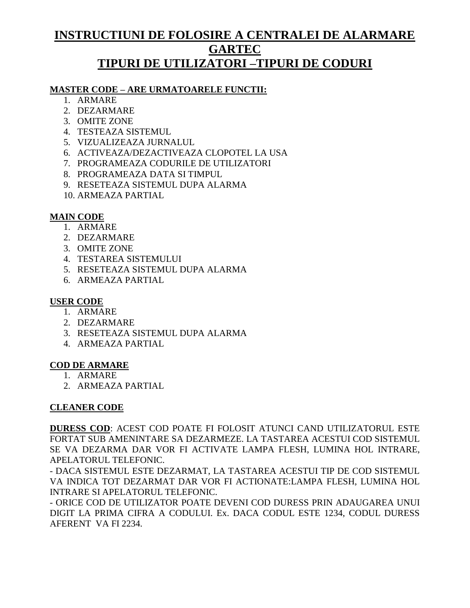## **INSTRUCTIUNI DE FOLOSIRE A CENTRALEI DE ALARMARE GARTEC TIPURI DE UTILIZATORI –TIPURI DE CODURI**

#### **MASTER CODE – ARE URMATOARELE FUNCTII:**

- 1. ARMARE
- 2. DEZARMARE
- 3. OMITE ZONE
- 4. TESTEAZA SISTEMUL
- 5. VIZUALIZEAZA JURNALUL
- 6. ACTIVEAZA/DEZACTIVEAZA CLOPOTEL LA USA
- 7. PROGRAMEAZA CODURILE DE UTILIZATORI
- 8. PROGRAMEAZA DATA SI TIMPUL
- 9. RESETEAZA SISTEMUL DUPA ALARMA
- 10. ARMEAZA PARTIAL

#### **MAIN CODE**

- 1. ARMARE
- 2. DEZARMARE
- 3. OMITE ZONE
- 4. TESTAREA SISTEMULUI
- 5. RESETEAZA SISTEMUL DUPA ALARMA
- 6. ARMEAZA PARTIAL

#### **USER CODE**

- 1. ARMARE
- 2. DEZARMARE
- 3. RESETEAZA SISTEMUL DUPA ALARMA
- 4. ARMEAZA PARTIAL

#### **COD DE ARMARE**

- 1. ARMARE
- 2. ARMEAZA PARTIAL

### **CLEANER CODE**

**DURESS COD**: ACEST COD POATE FI FOLOSIT ATUNCI CAND UTILIZATORUL ESTE FORTAT SUB AMENINTARE SA DEZARMEZE. LA TASTAREA ACESTUI COD SISTEMUL SE VA DEZARMA DAR VOR FI ACTIVATE LAMPA FLESH, LUMINA HOL INTRARE, APELATORUL TELEFONIC.

- DACA SISTEMUL ESTE DEZARMAT, LA TASTAREA ACESTUI TIP DE COD SISTEMUL VA INDICA TOT DEZARMAT DAR VOR FI ACTIONATE:LAMPA FLESH, LUMINA HOL INTRARE SI APELATORUL TELEFONIC.

- ORICE COD DE UTILIZATOR POATE DEVENI COD DURESS PRIN ADAUGAREA UNUI DIGIT LA PRIMA CIFRA A CODULUI. Ex. DACA CODUL ESTE 1234, CODUL DURESS AFERENT VA FI 2234.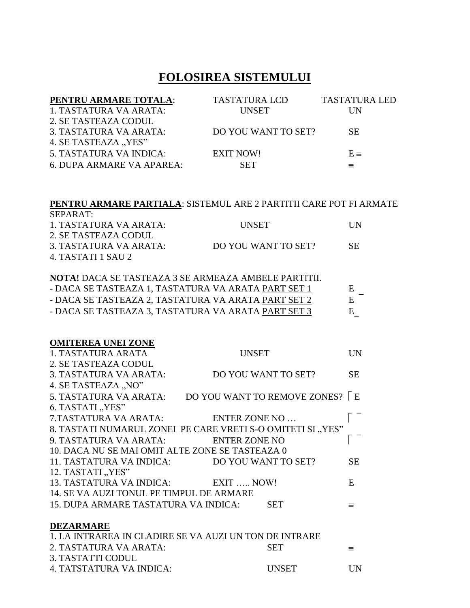## **FOLOSIREA SISTEMULUI**

| PENTRU ARMARE TOTALA:            | <b>TASTATURA LCD</b> | <b>TASTATURA LED</b> |
|----------------------------------|----------------------|----------------------|
| 1. TASTATURA VA ARATA:           | <b>UNSET</b>         | UN                   |
| 2. SE TASTEAZA CODUL             |                      |                      |
| 3. TASTATURA VA ARATA:           | DO YOU WANT TO SET?  | <b>SE</b>            |
| 4. SE TASTEAZA "YES"             |                      |                      |
| 5. TASTATURA VA INDICA:          | <b>EXIT NOW!</b>     | $E \equiv$           |
| <b>6. DUPA ARMARE VA APAREA:</b> | <b>SET</b>           |                      |

#### **PENTRU ARMARE PARTIALA**: SISTEMUL ARE 2 PARTITII CARE POT FI ARMATE

| SEPARAT:               |                     |            |
|------------------------|---------------------|------------|
| 1. TASTATURA VA ARATA: | <b>UNSET</b>        | <b>IIN</b> |
| 2. SE TASTEAZA CODUL   |                     |            |
| 3. TASTATURA VA ARATA: | DO YOU WANT TO SET? | SE.        |
| 4. TASTATI 1 SAU 2     |                     |            |

**NOTA!** DACA SE TASTEAZA 3 SE ARMEAZA AMBELE PARTITII. - DACA SE TASTEAZA 1, TASTATURA VA ARATA <u>PART SET 1</u>  $E -$  DACA SE TASTEAZA 2, TASTATURA VA ARATA PART SET 2 - DACA SE TASTEAZA 2, TASTATURA VA ARATA PART SET 2 - DACA SE TASTEAZA 3, TASTATURA VA ARATA PART SET 3 E

| <b>OMITEREA UNEI ZONE</b>                                   |              |                                  |           |
|-------------------------------------------------------------|--------------|----------------------------------|-----------|
| 1. TASTATURA ARATA                                          | <b>UNSET</b> |                                  | UN        |
| 2. SE TASTEAZA CODUL                                        |              |                                  |           |
| 3. TASTATURA VA ARATA:                                      |              | DO YOU WANT TO SET?              | <b>SE</b> |
| 4. SE TASTEAZA "NO"                                         |              |                                  |           |
| 5. TASTATURA VA ARATA:                                      |              | DO YOU WANT TO REMOVE ZONES?   E |           |
| 6. TASTATI "YES"                                            |              |                                  |           |
| 7.TASTATURA VA ARATA: ENTER ZONE NO                         |              |                                  |           |
| 8. TASTATI NUMARUL ZONEI PE CARE VRETI S-O OMITETI SI "YES" |              |                                  |           |
| 9. TASTATURA VA ARATA: ENTER ZONE NO                        |              |                                  |           |
| 10. DACA NU SE MAI OMIT ALTE ZONE SE TASTEAZA 0             |              |                                  |           |
| 11. TASTATURA VA INDICA: DO YOU WANT TO SET?                |              |                                  | <b>SE</b> |
| 12. TASTATI "YES"                                           |              |                                  |           |
| 13. TASTATURA VA INDICA: EXIT  NOW!                         |              |                                  | E         |
| 14. SE VA AUZI TONUL PE TIMPUL DE ARMARE                    |              |                                  |           |
| 15. DUPA ARMARE TASTATURA VA INDICA:                        |              | <b>SET</b>                       | $\equiv$  |
|                                                             |              |                                  |           |
| <b>DEZARMARE</b>                                            |              |                                  |           |
| 1. LA INTRAREA IN CLADIRE SE VA AUZI UN TON DE INTRARE      |              |                                  |           |
| 2. TASTATURA VA ARATA:                                      |              | <b>SET</b>                       | $\equiv$  |
| 3. TASTATTI CODUL                                           |              |                                  |           |
| 4. TATSTATURA VA INDICA:                                    |              | <b>UNSET</b>                     | <b>UN</b> |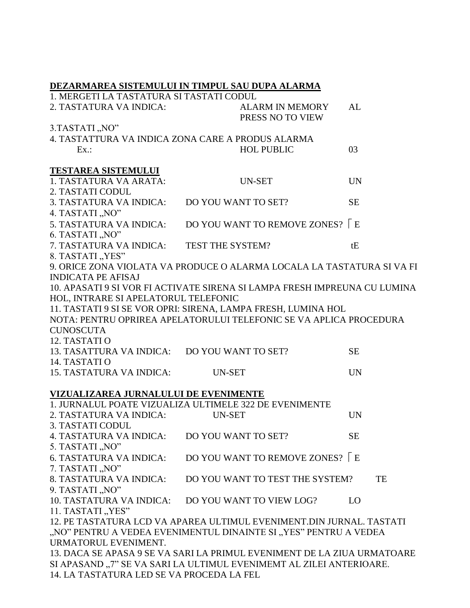|                                                   | DEZARMAREA SISTEMULUI IN TIMPUL SAU DUPA ALARMA                           |           |  |  |  |
|---------------------------------------------------|---------------------------------------------------------------------------|-----------|--|--|--|
| 1. MERGETI LA TASTATURA SI TASTATI CODUL          |                                                                           |           |  |  |  |
| 2. TASTATURA VA INDICA:                           | <b>ALARM IN MEMORY</b><br>PRESS NO TO VIEW                                | AL        |  |  |  |
| 3.TASTATI, NO"                                    |                                                                           |           |  |  |  |
| 4. TASTATTURA VA INDICA ZONA CARE A PRODUS ALARMA |                                                                           |           |  |  |  |
| Ex.                                               | <b>HOL PUBLIC</b>                                                         | 03        |  |  |  |
| <b>TESTAREA SISTEMULUI</b>                        |                                                                           |           |  |  |  |
| 1. TASTATURA VA ARATA:                            | <b>UN-SET</b>                                                             | <b>UN</b> |  |  |  |
| 2. TASTATI CODUL                                  |                                                                           |           |  |  |  |
| 3. TASTATURA VA INDICA:                           | DO YOU WANT TO SET?                                                       | <b>SE</b> |  |  |  |
| 4. TASTATI, NO"                                   |                                                                           |           |  |  |  |
| 5. TASTATURA VA INDICA:                           | DO YOU WANT TO REMOVE ZONES?   E                                          |           |  |  |  |
| 6. TASTATI, NO"                                   |                                                                           |           |  |  |  |
| 7. TASTATURA VA INDICA:                           | TEST THE SYSTEM?                                                          | tE        |  |  |  |
| 8. TASTATI "YES"                                  |                                                                           |           |  |  |  |
|                                                   | 9. ORICE ZONA VIOLATA VA PRODUCE O ALARMA LOCALA LA TASTATURA SI VA FI    |           |  |  |  |
| <b>INDICATA PE AFISAJ</b>                         |                                                                           |           |  |  |  |
|                                                   | 10. APASATI 9 SI VOR FI ACTIVATE SIRENA SI LAMPA FRESH IMPREUNA CU LUMINA |           |  |  |  |
| HOL, INTRARE SI APELATORUL TELEFONIC              |                                                                           |           |  |  |  |
|                                                   | 11. TASTATI 9 SI SE VOR OPRI: SIRENA, LAMPA FRESH, LUMINA HOL             |           |  |  |  |
|                                                   | NOTA: PENTRU OPRIREA APELATORULUI TELEFONIC SE VA APLICA PROCEDURA        |           |  |  |  |
| <b>CUNOSCUTA</b>                                  |                                                                           |           |  |  |  |
| 12. TASTATI O                                     |                                                                           |           |  |  |  |
| 13. TASATTURA VA INDICA: DO YOU WANT TO SET?      |                                                                           | <b>SE</b> |  |  |  |
| 14. TASTATI O                                     |                                                                           |           |  |  |  |
| <b>15. TASTATURA VA INDICA:</b>                   | <b>UN-SET</b>                                                             | <b>UN</b> |  |  |  |
| VIZUALIZAREA JURNALULUI DE EVENIMENTE             |                                                                           |           |  |  |  |
|                                                   | 1. JURNALUL POATE VIZUALIZA ULTIMELE 322 DE EVENIMENTE                    |           |  |  |  |
| 2. TASTATURA VA INDICA:                           | <b>UN-SET</b>                                                             | <b>UN</b> |  |  |  |
| 3. TASTATI CODUL                                  |                                                                           |           |  |  |  |
| 4. TASTATURA VA INDICA:                           | DO YOU WANT TO SET?                                                       | <b>SE</b> |  |  |  |
| 5. TASTATI "NO"                                   |                                                                           |           |  |  |  |
| <b>6. TASTATURA VA INDICA:</b>                    | DO YOU WANT TO REMOVE ZONES?   E                                          |           |  |  |  |
| 7. TASTATI "NO"                                   |                                                                           |           |  |  |  |
| 8. TASTATURA VA INDICA:                           | DO YOU WANT TO TEST THE SYSTEM?                                           | TE        |  |  |  |
| 9. TASTATI "NO"                                   |                                                                           |           |  |  |  |
| 10. TASTATURA VA INDICA:                          | DO YOU WANT TO VIEW LOG?                                                  | LO        |  |  |  |
| 11. TASTATI "YES"                                 |                                                                           |           |  |  |  |
|                                                   | 12. PE TASTATURA LCD VA APAREA ULTIMUL EVENIMENT.DIN JURNAL. TASTATI      |           |  |  |  |
|                                                   | "NO" PENTRU A VEDEA EVENIMENTUL DINAINTE SI "YES" PENTRU A VEDEA          |           |  |  |  |
| URMATORUL EVENIMENT.                              |                                                                           |           |  |  |  |
|                                                   | 13. DACA SE APASA 9 SE VA SARI LA PRIMUL EVENIMENT DE LA ZIUA URMATOARE   |           |  |  |  |
|                                                   | SI APASAND "7" SE VA SARI LA ULTIMUL EVENIMEMT AL ZILEI ANTERIOARE.       |           |  |  |  |
| 14. LA TASTATURA LED SE VA PROCEDA LA FEL         |                                                                           |           |  |  |  |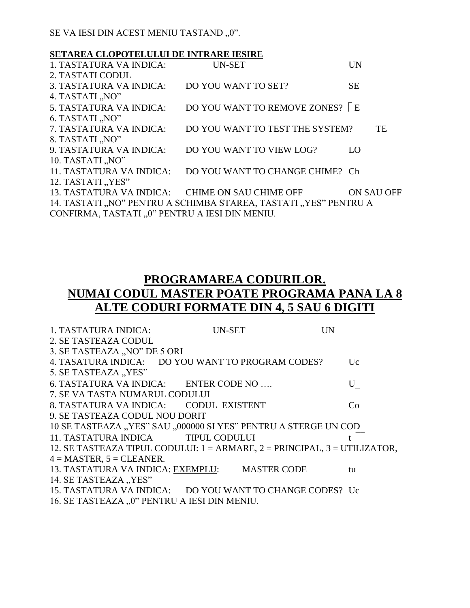SE VA IESI DIN ACEST MENIU TASTAND "0".

#### **SETAREA CLOPOTELULUI DE INTRARE IESIRE**

| 1. TASTATURA VA INDICA:                         | <b>UN-SET</b>                                                    | <b>UN</b>  |
|-------------------------------------------------|------------------------------------------------------------------|------------|
| 2. TASTATI CODUL                                |                                                                  |            |
| 3. TASTATURA VA INDICA:                         | DO YOU WANT TO SET?                                              | <b>SE</b>  |
| 4. TASTATI "NO"                                 |                                                                  |            |
| 5. TASTATURA VA INDICA:                         | DO YOU WANT TO REMOVE ZONES? E                                   |            |
| 6. TASTATI "NO"                                 |                                                                  |            |
| 7. TASTATURA VA INDICA:                         | DO YOU WANT TO TEST THE SYSTEM?                                  | <b>TE</b>  |
| 8. TASTATI "NO"                                 |                                                                  |            |
| 9. TASTATURA VA INDICA:                         | DO YOU WANT TO VIEW LOG?                                         | $\Omega$   |
| 10. TASTATI "NO"                                |                                                                  |            |
| 11. TASTATURA VA INDICA:                        | DO YOU WANT TO CHANGE CHIME? Ch                                  |            |
| 12. TASTATI "YES"                               |                                                                  |            |
| 13. TASTATURA VA INDICA: CHIME ON SAU CHIME OFF |                                                                  | ON SAU OFF |
|                                                 | 14. TASTATI "NO" PENTRU A SCHIMBA STAREA, TASTATI "YES" PENTRU A |            |
| CONFIRMA, TASTATI "0" PENTRU A IESI DIN MENIU.  |                                                                  |            |

## **PROGRAMAREA CODURILOR. NUMAI CODUL MASTER POATE PROGRAMA PANA LA 8 ALTE CODURI FORMATE DIN 4, 5 SAU 6 DIGITI**

| 1. TASTATURA INDICA:                                                                 | <b>UN-SET</b>                   | UN          |
|--------------------------------------------------------------------------------------|---------------------------------|-------------|
| 2. SE TASTEAZA CODUL                                                                 |                                 |             |
| 3. SE TASTEAZA "NO" DE 5 ORI                                                         |                                 |             |
| 4. TASATURA INDICA: DO YOU WANT TO PROGRAM CODES?                                    |                                 | $U_{\rm C}$ |
| 5. SE TASTEAZA "YES"                                                                 |                                 |             |
| 6. TASTATURA VA INDICA: ENTER CODE NO                                                |                                 | U           |
| 7. SE VA TASTA NUMARUL CODULUI                                                       |                                 |             |
| 8. TASTATURA VA INDICA: CODUL EXISTENT                                               |                                 | Co.         |
| 9. SE TASTEAZA CODUL NOU DORIT                                                       |                                 |             |
| 10 SE TASTEAZA "YES" SAU "000000 SI YES" PENTRU A STERGE UN COD                      |                                 |             |
| 11. TASTATURA INDICA TIPUL CODULUI                                                   |                                 |             |
| 12. SE TASTEAZA TIPUL CODULUI: $1 = ARMARE$ , $2 = PRINCIPAL$ , $3 = UTILLIZATION$ , |                                 |             |
| $4 =$ MASTER, $5 =$ CLEANER.                                                         |                                 |             |
| 13. TASTATURA VA INDICA: EXEMPLU:                                                    | <b>MASTER CODE</b>              | tu          |
| 14. SE TASTEAZA "YES"                                                                |                                 |             |
| 15. TASTATURA VA INDICA:                                                             | DO YOU WANT TO CHANGE CODES? Uc |             |
| 16. SE TASTEAZA "0" PENTRU A IESI DIN MENIU.                                         |                                 |             |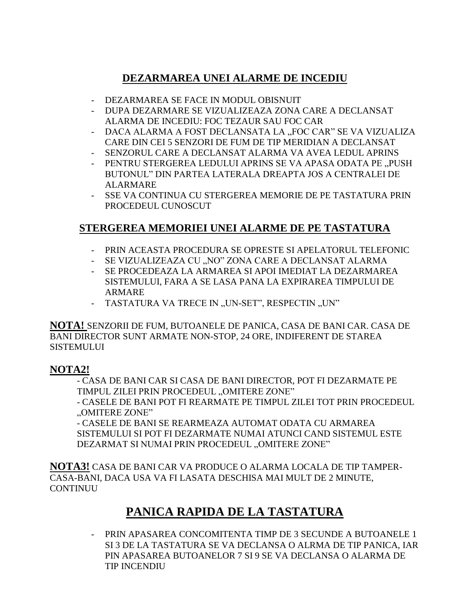## DEZARMAREA UNEI ALARME DE INCEDIU

- DEZARMAREA SE FACE IN MODUL OBISNUIT
- DUPA DEZARMARE SE VIZUALIZEAZA ZONA CARE A DECLANSAT ALARMA DE INCEDIU: FOC TEZAUR SAU FOC CAR
- DACA ALARMA A FOST DECLANSATA LA "FOC CAR" SE VA VIZUALIZA CARE DIN CEI 5 SENZORI DE FUM DE TIP MERIDIAN A DECLANSAT
- SENZORUL CARE A DECLANSAT ALARMA VA AVEA LEDUL APRINS
- PENTRU STERGEREA LEDULUI APRINS SE VA APASA ODATA PE "PUSH BUTONUL" DIN PARTEA LATERALA DREAPTA JOS A CENTRALEI DE **ALARMARE**
- SSE VA CONTINUA CU STERGEREA MEMORIE DE PE TASTATURA PRIN PROCEDEUL CUNOSCUT

### STERGEREA MEMORIEI UNEI ALARME DE PE TASTATURA

- PRIN ACEASTA PROCEDURA SE OPRESTE SI APELATORUL TELEFONIC
- SE VIZUALIZEAZA CU "NO" ZONA CARE A DECLANSAT ALARMA
- SE PROCEDEAZA LA ARMAREA SI APOI IMEDIAT LA DEZARMAREA SISTEMULUI. FARA A SE LASA PANA LA EXPIRAREA TIMPULUI DE **ARMARE**
- TASTATURA VA TRECE IN "UN-SET", RESPECTIN "UN"

NOTA! SENZORII DE FUM, BUTOANELE DE PANICA, CASA DE BANI CAR. CASA DE BANI DIRECTOR SUNT ARMATE NON-STOP, 24 ORE, INDIFERENT DE STAREA **SISTEMULUI** 

### **NOTA2!**

- CASA DE BANI CAR SI CASA DE BANI DIRECTOR, POT FI DEZARMATE PE TIMPUL ZILEI PRIN PROCEDEUL "OMITERE ZONE"

- CASELE DE BANI POT FI REARMATE PE TIMPUL ZILEI TOT PRIN PROCEDEUL "OMITERE ZONE"

- CASELE DE BANI SE REARMEAZA AUTOMAT ODATA CU ARMAREA SISTEMULUI SI POT FI DEZARMATE NUMAI ATUNCI CAND SISTEMUL ESTE DEZARMAT SI NUMAI PRIN PROCEDEUL "OMITERE ZONE"

NOTA3! CASA DE BANI CAR VA PRODUCE O ALARMA LOCALA DE TIP TAMPER-CASA-BANI, DACA USA VA FI LASATA DESCHISA MAI MULT DE 2 MINUTE, **CONTINUU** 

# PANICA RAPIDA DE LA TASTATURA

- PRIN APASAREA CONCOMITENTA TIMP DE 3 SECUNDE A BUTOANELE 1 SI 3 DE LA TASTATURA SE VA DECLANSA O ALRMA DE TIP PANICA. IAR PIN APASAREA BUTOANELOR 7 SI 9 SE VA DECLANSA O ALARMA DE TIP INCENDIU